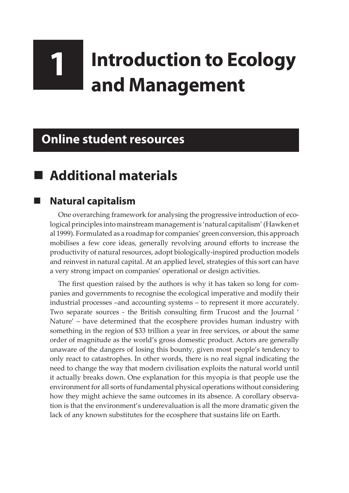# **1 Introduction to Ecology and Management**

## **Online student resources**

# **Additional materials**

#### **Natural capitalism**

One overarching framework for analysing the progressive introduction of ecological principles into mainstream management is 'natural capitalism' (Hawken et al 1999). Formulated as a roadmap for companies' green conversion, this approach mobilises a few core ideas, generally revolving around efforts to increase the productivity of natural resources, adopt biologically-inspired production models and reinvest in natural capital. At an applied level, strategies of this sort can have a very strong impact on companies' operational or design activities.

The first question raised by the authors is why it has taken so long for companies and governments to recognise the ecological imperative and modify their industrial processes –and accounting systems – to represent it more accurately. Two separate sources - the British consulting firm Trucost and the Journal ' Nature' – have determined that the ecosphere provides human industry with something in the region of \$33 trillion a year in free services, or about the same order of magnitude as the world's gross domestic product. Actors are generally unaware of the dangers of losing this bounty, given most people's tendency to only react to catastrophes. In other words, there is no real signal indicating the need to change the way that modern civilisation exploits the natural world until it actually breaks down. One explanation for this myopia is that people use the environment for all sorts of fundamental physical operations without considering how they might achieve the same outcomes in its absence. A corollary observation is that the environment's underevaluation is all the more dramatic given the lack of any known substitutes for the ecosphere that sustains life on Earth.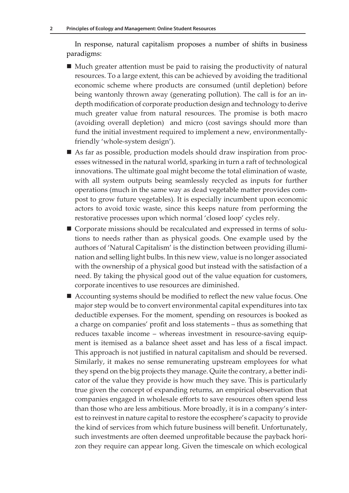In response, natural capitalism proposes a number of shifts in business paradigms:

- Much greater attention must be paid to raising the productivity of natural resources. To a large extent, this can be achieved by avoiding the traditional economic scheme where products are consumed (until depletion) before being wantonly thrown away (generating pollution). The call is for an indepth modification of corporate production design and technology to derive much greater value from natural resources. The promise is both macro (avoiding overall depletion) and micro (cost savings should more than fund the initial investment required to implement a new, environmentallyfriendly 'whole-system design').
- As far as possible, production models should draw inspiration from processes witnessed in the natural world, sparking in turn a raft of technological innovations. The ultimate goal might become the total elimination of waste, with all system outputs being seamlessly recycled as inputs for further operations (much in the same way as dead vegetable matter provides compost to grow future vegetables). It is especially incumbent upon economic actors to avoid toxic waste, since this keeps nature from performing the restorative processes upon which normal 'closed loop' cycles rely.
- Corporate missions should be recalculated and expressed in terms of solutions to needs rather than as physical goods. One example used by the authors of 'Natural Capitalism' is the distinction between providing illumination and selling light bulbs. In this new view, value is no longer associated with the ownership of a physical good but instead with the satisfaction of a need. By taking the physical good out of the value equation for customers, corporate incentives to use resources are diminished.
- Accounting systems should be modified to reflect the new value focus. One major step would be to convert environmental capital expenditures into tax deductible expenses. For the moment, spending on resources is booked as a charge on companies' profit and loss statements – thus as something that reduces taxable income – whereas investment in resource-saving equipment is itemised as a balance sheet asset and has less of a fiscal impact. This approach is not justified in natural capitalism and should be reversed. Similarly, it makes no sense remunerating upstream employees for what they spend on the big projects they manage. Quite the contrary, a better indicator of the value they provide is how much they save. This is particularly true given the concept of expanding returns, an empirical observation that companies engaged in wholesale efforts to save resources often spend less than those who are less ambitious. More broadly, it is in a company's interest to reinvest in nature capital to restore the ecosphere's capacity to provide the kind of services from which future business will benefit. Unfortunately, such investments are often deemed unprofitable because the payback horizon they require can appear long. Given the timescale on which ecological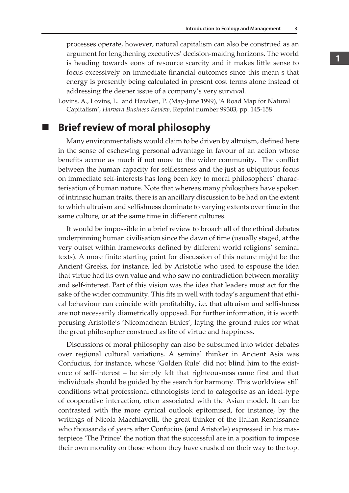processes operate, however, natural capitalism can also be construed as an argument for lengthening executives' decision-making horizons. The world is heading towards eons of resource scarcity and it makes little sense to focus excessively on immediate financial outcomes since this mean s that energy is presently being calculated in present cost terms alone instead of addressing the deeper issue of a company's very survival.

Lovins, A., Lovins, L. and Hawken, P. (May-June 1999), 'A Road Map for Natural Capitalism', *Harvard Business Review*, Reprint number 99303, pp. 145-158

#### **Brief review of moral philosophy**

Many environmentalists would claim to be driven by altruism, defined here in the sense of eschewing personal advantage in favour of an action whose benefits accrue as much if not more to the wider community. The conflict between the human capacity for selflessness and the just as ubiquitous focus on immediate self-interests has long been key to moral philosophers' characterisation of human nature. Note that whereas many philosphers have spoken of intrinsic human traits, there is an ancillary discussion to be had on the extent to which altruism and selfishness dominate to varying extents over time in the same culture, or at the same time in different cultures.

It would be impossible in a brief review to broach all of the ethical debates underpinning human civilisation since the dawn of time (usually staged, at the very outset within frameworks defined by different world religions' seminal texts). A more finite starting point for discussion of this nature might be the Ancient Greeks, for instance, led by Aristotle who used to espouse the idea that virtue had its own value and who saw no contradiction between morality and self-interest. Part of this vision was the idea that leaders must act for the sake of the wider community. This fits in well with today's argument that ethical behaviour can coincide with profitabilty, i.e. that altruism and selfishness are not necessarily diametrically opposed. For further information, it is worth perusing Aristotle's 'Nicomachean Ethics', laying the ground rules for what the great philosopher construed as life of virtue and happiness.

Discussions of moral philosophy can also be subsumed into wider debates over regional cultural variations. A seminal thinker in Ancient Asia was Confucius, for instance, whose 'Golden Rule' did not blind him to the existence of self-interest – he simply felt that righteousness came first and that individuals should be guided by the search for harmony. This worldview still conditions what professional ethnologists tend to categorise as an ideal-type of cooperative interaction, often associated with the Asian model. It can be contrasted with the more cynical outlook epitomised, for instance, by the writings of Nicola Macchiavelli, the great thinker of the Italian Renaissance who thousands of years after Confucius (and Aristotle) expressed in his masterpiece 'The Prince' the notion that the successful are in a position to impose their own morality on those whom they have crushed on their way to the top.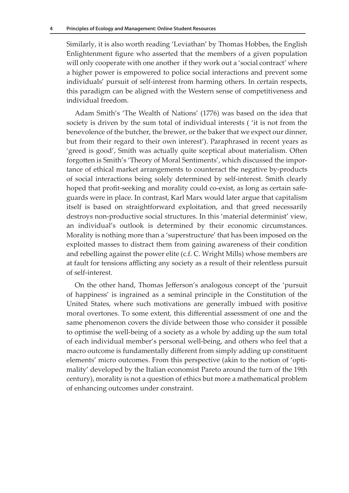Similarly, it is also worth reading 'Leviathan' by Thomas Hobbes, the English Enlightenment figure who asserted that the members of a given population will only cooperate with one another if they work out a 'social contract' where a higher power is empowered to police social interactions and prevent some individuals' pursuit of self-interest from harming others. In certain respects, this paradigm can be aligned with the Western sense of competitiveness and individual freedom.

Adam Smith's 'The Wealth of Nations' (1776) was based on the idea that society is driven by the sum total of individual interests ( 'it is not from the benevolence of the butcher, the brewer, or the baker that we expect our dinner, but from their regard to their own interest'). Paraphrased in recent years as 'greed is good', Smith was actually quite sceptical about materialism. Often forgotten is Smith's 'Theory of Moral Sentiments', which discussed the importance of ethical market arrangements to counteract the negative by-products of social interactions being solely determined by self-interest. Smith clearly hoped that profit-seeking and morality could co-exist, as long as certain safeguards were in place. In contrast, Karl Marx would later argue that capitalism itself is based on straightforward exploitation, and that greed necessarily destroys non-productive social structures. In this 'material determinist' view, an individual's outlook is determined by their economic circumstances. Morality is nothing more than a 'superstructure' that has been imposed on the exploited masses to distract them from gaining awareness of their condition and rebelling against the power elite (c.f. C. Wright Mills) whose members are at fault for tensions afflicting any society as a result of their relentless pursuit of self-interest.

On the other hand, Thomas Jefferson's analogous concept of the 'pursuit of happiness' is ingrained as a seminal principle in the Constitution of the United States, where such motivations are generally imbued with positive moral overtones. To some extent, this differential assessment of one and the same phenomenon covers the divide between those who consider it possible to optimise the well-being of a society as a whole by adding up the sum total of each individual member's personal well-being, and others who feel that a macro outcome is fundamentally different from simply adding up constituent elements' micro outcomes. From this perspective (akin to the notion of 'optimality' developed by the Italian economist Pareto around the turn of the 19th century), morality is not a question of ethics but more a mathematical problem of enhancing outcomes under constraint.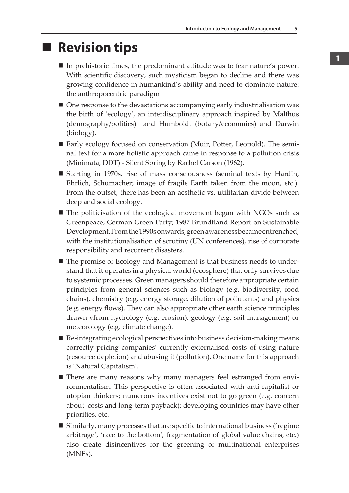## **Revision tips**

- In prehistoric times, the predominant attitude was to fear nature's power. With scientific discovery, such mysticism began to decline and there was growing confidence in humankind's ability and need to dominate nature: the anthropocentric paradigm
- One response to the devastations accompanying early industrialisation was the birth of 'ecology', an interdisciplinary approach inspired by Malthus (demography/politics) and Humboldt (botany/economics) and Darwin (biology).
- Early ecology focused on conservation (Muir, Potter, Leopold). The seminal text for a more holistic approach came in response to a pollution crisis (Minimata, DDT) - Silent Spring by Rachel Carson (1962).
- Starting in 1970s, rise of mass consciousness (seminal texts by Hardin, Ehrlich, Schumacher; image of fragile Earth taken from the moon, etc.). From the outset, there has been an aesthetic vs. utilitarian divide between deep and social ecology.
- The politicisation of the ecological movement began with NGOs such as Greenpeace; German Green Party; 1987 Brundtland Report on Sustainable Development. From the 1990s onwards, green awareness became entrenched, with the institutionalisation of scrutiny (UN conferences), rise of corporate responsibility and recurrent disasters.
- The premise of Ecology and Management is that business needs to understand that it operates in a physical world (ecosphere) that only survives due to systemic processes. Green managers should therefore appropriate certain principles from general sciences such as biology (e.g. biodiversity, food chains), chemistry (e.g. energy storage, dilution of pollutants) and physics (e.g. energy flows). They can also appropriate other earth science principles drawn vfrom hydrology (e.g. erosion), geology (e.g. soil management) or meteorology (e.g. climate change).
- $\blacksquare$  Re-integrating ecological perspectives into business decision-making means correctly pricing companies' currently externalised costs of using nature (resource depletion) and abusing it (pollution). One name for this approach is 'Natural Capitalism'.
- There are many reasons why many managers feel estranged from environmentalism. This perspective is often associated with anti-capitalist or utopian thinkers; numerous incentives exist not to go green (e.g. concern about costs and long-term payback); developing countries may have other priorities, etc.
- Similarly, many processes that are specific to international business ('regime arbitrage', 'race to the bottom', fragmentation of global value chains, etc.) also create disincentives for the greening of multinational enterprises (MNEs).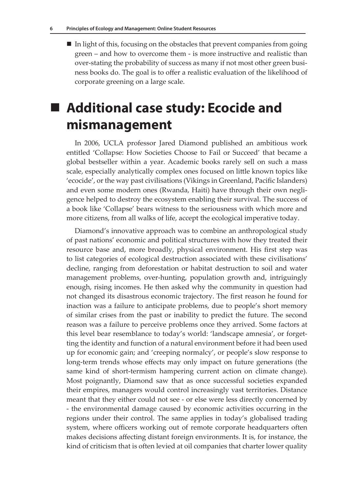$\blacksquare$  In light of this, focusing on the obstacles that prevent companies from going green – and how to overcome them - is more instructive and realistic than over-stating the probability of success as many if not most other green business books do. The goal is to offer a realistic evaluation of the likelihood of corporate greening on a large scale.

## ■ Additional case study: Ecocide and **mismanagement**

In 2006, UCLA professor Jared Diamond published an ambitious work entitled 'Collapse: How Societies Choose to Fail or Succeed' that became a global bestseller within a year. Academic books rarely sell on such a mass scale, especially analytically complex ones focused on little known topics like 'ecocide', or the way past civilisations (Vikings in Greenland, Pacific Islanders) and even some modern ones (Rwanda, Haiti) have through their own negligence helped to destroy the ecosystem enabling their survival. The success of a book like 'Collapse' bears witness to the seriousness with which more and more citizens, from all walks of life, accept the ecological imperative today.

Diamond's innovative approach was to combine an anthropological study of past nations' economic and political structures with how they treated their resource base and, more broadly, physical environment. His first step was to list categories of ecological destruction associated with these civilisations' decline, ranging from deforestation or habitat destruction to soil and water management problems, over-hunting, population growth and, intriguingly enough, rising incomes. He then asked why the community in question had not changed its disastrous economic trajectory. The first reason he found for inaction was a failure to anticipate problems, due to people's short memory of similar crises from the past or inability to predict the future. The second reason was a failure to perceive problems once they arrived. Some factors at this level bear resemblance to today's world: 'landscape amnesia', or forgetting the identity and function of a natural environment before it had been used up for economic gain; and 'creeping normalcy', or people's slow response to long-term trends whose effects may only impact on future generations (the same kind of short-termism hampering current action on climate change). Most poignantly, Diamond saw that as once successful societies expanded their empires, managers would control increasingly vast territories. Distance meant that they either could not see - or else were less directly concerned by - the environmental damage caused by economic activities occurring in the regions under their control. The same applies in today's globalised trading system, where officers working out of remote corporate headquarters often makes decisions affecting distant foreign environments. It is, for instance, the kind of criticism that is often levied at oil companies that charter lower quality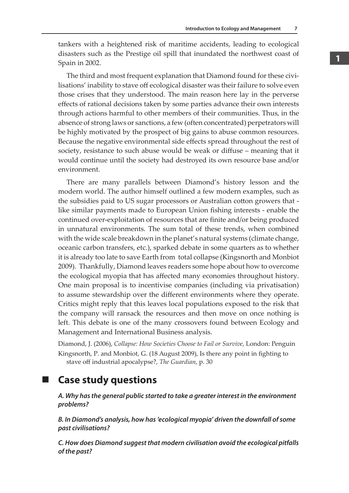tankers with a heightened risk of maritime accidents, leading to ecological disasters such as the Prestige oil spill that inundated the northwest coast of Spain in 2002.

The third and most frequent explanation that Diamond found for these civilisations' inability to stave off ecological disaster was their failure to solve even those crises that they understood. The main reason here lay in the perverse effects of rational decisions taken by some parties advance their own interests through actions harmful to other members of their communities. Thus, in the absence of strong laws or sanctions, a few (often concentrated) perpetrators will be highly motivated by the prospect of big gains to abuse common resources. Because the negative environmental side effects spread throughout the rest of society, resistance to such abuse would be weak or diffuse – meaning that it would continue until the society had destroyed its own resource base and/or environment.

There are many parallels between Diamond's history lesson and the modern world. The author himself outlined a few modern examples, such as the subsidies paid to US sugar processors or Australian cotton growers that like similar payments made to European Union fishing interests - enable the continued over-exploitation of resources that are finite and/or being produced in unnatural environments. The sum total of these trends, when combined with the wide scale breakdown in the planet's natural systems (climate change, oceanic carbon transfers, etc.), sparked debate in some quarters as to whether it is already too late to save Earth from total collapse (Kingsnorth and Monbiot 2009). Thankfully, Diamond leaves readers some hope about how to overcome the ecological myopia that has affected many economies throughout history. One main proposal is to incentivise companies (including via privatisation) to assume stewardship over the different environments where they operate. Critics might reply that this leaves local populations exposed to the risk that the company will ransack the resources and then move on once nothing is left. This debate is one of the many crossovers found between Ecology and Management and International Business analysis.

Diamond, J. (2006), *Collapse: How Societies Choose to Fail or Survive*, London: Penguin Kingsnorth, P. and Monbiot, G. (18 August 2009), Is there any point in fighting to stave off industrial apocalypse?, *The Guardian*, p. 30

#### **Case study questions**

*A. Why has the general public started to take a greater interest in the environment problems?*

*B. In Diamond's analysis, how has 'ecological myopia' driven the downfall of some past civilisations?*

*C. How does Diamond suggest that modern civilisation avoid the ecological pitfalls of the past?*